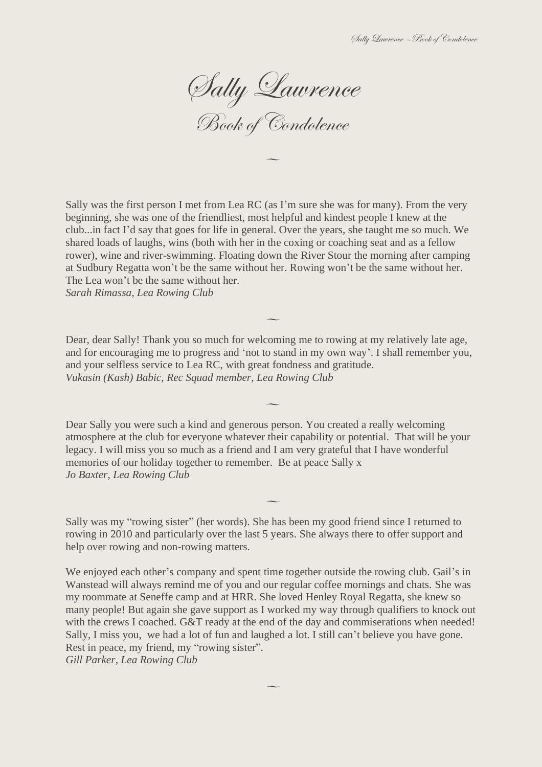Sally Lawrence

Book of Condolence

 $\overline{\phantom{0}}$ 

Sally was the first person I met from Lea RC (as I'm sure she was for many). From the very beginning, she was one of the friendliest, most helpful and kindest people I knew at the club...in fact I'd say that goes for life in general. Over the years, she taught me so much. We shared loads of laughs, wins (both with her in the coxing or coaching seat and as a fellow rower), wine and river-swimming. Floating down the River Stour the morning after camping at Sudbury Regatta won't be the same without her. Rowing won't be the same without her. The Lea won't be the same without her.

*Sarah Rimassa, Lea Rowing Club*

Dear, dear Sally! Thank you so much for welcoming me to rowing at my relatively late age, and for encouraging me to progress and 'not to stand in my own way'. I shall remember you, and your selfless service to Lea RC, with great fondness and gratitude. *Vukasin (Kash) Babic, Rec Squad member, Lea Rowing Club*

 $\overline{\phantom{a}}$ 

 $\overline{\phantom{a}}$ 

Dear Sally you were such a kind and generous person. You created a really welcoming atmosphere at the club for everyone whatever their capability or potential. That will be your legacy. I will miss you so much as a friend and I am very grateful that I have wonderful memories of our holiday together to remember. Be at peace Sally x *Jo Baxter, Lea Rowing Club*

 $\overline{\phantom{a}}$ 

Sally was my "rowing sister" (her words). She has been my good friend since I returned to rowing in 2010 and particularly over the last 5 years. She always there to offer support and help over rowing and non-rowing matters.

We enjoyed each other's company and spent time together outside the rowing club. Gail's in Wanstead will always remind me of you and our regular coffee mornings and chats. She was my roommate at Seneffe camp and at HRR. She loved Henley Royal Regatta, she knew so many people! But again she gave support as I worked my way through qualifiers to knock out with the crews I coached. G&T ready at the end of the day and commiserations when needed! Sally, I miss you, we had a lot of fun and laughed a lot. I still can't believe you have gone. Rest in peace, my friend, my "rowing sister".

 $\overline{\phantom{a}}$ 

*Gill Parker, Lea Rowing Club*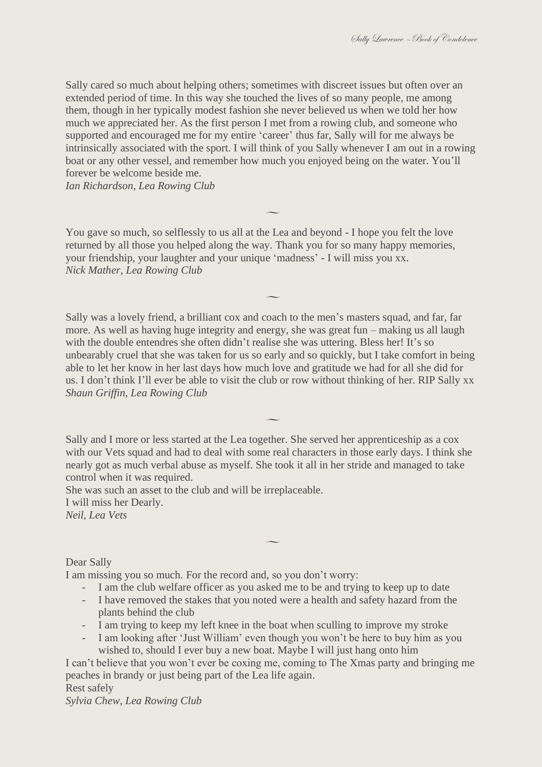Sally cared so much about helping others; sometimes with discreet issues but often over an extended period of time. In this way she touched the lives of so many people, me among them, though in her typically modest fashion she never believed us when we told her how much we appreciated her. As the first person I met from a rowing club, and someone who supported and encouraged me for my entire 'career' thus far, Sally will for me always be intrinsically associated with the sport. I will think of you Sally whenever I am out in a rowing boat or any other vessel, and remember how much you enjoyed being on the water. You'll forever be welcome beside me.

 $\overline{\phantom{a}}$ 

*Ian Richardson, Lea Rowing Club*

You gave so much, so selflessly to us all at the Lea and beyond - I hope you felt the love returned by all those you helped along the way. Thank you for so many happy memories, your friendship, your laughter and your unique 'madness' - I will miss you xx. *Nick Mather, Lea Rowing Club*

Sally was a lovely friend, a brilliant cox and coach to the men's masters squad, and far, far more. As well as having huge integrity and energy, she was great fun – making us all laugh with the double entendres she often didn't realise she was uttering. Bless her! It's so unbearably cruel that she was taken for us so early and so quickly, but I take comfort in being able to let her know in her last days how much love and gratitude we had for all she did for us. I don't think I'll ever be able to visit the club or row without thinking of her. RIP Sally xx *Shaun Griffin, Lea Rowing Club*

 $\overline{\phantom{a}}$ 

Sally and I more or less started at the Lea together. She served her apprenticeship as a cox with our Vets squad and had to deal with some real characters in those early days. I think she nearly got as much verbal abuse as myself. She took it all in her stride and managed to take control when it was required.

 $\overline{\phantom{a}}$ 

She was such an asset to the club and will be irreplaceable.

I will miss her Dearly.

*Neil, Lea Vets*

Dear Sally

I am missing you so much. For the record and, so you don't worry:

- I am the club welfare officer as you asked me to be and trying to keep up to date

 $\overline{\phantom{0}}$ 

- I have removed the stakes that you noted were a health and safety hazard from the plants behind the club
- I am trying to keep my left knee in the boat when sculling to improve my stroke
- I am looking after 'Just William' even though you won't be here to buy him as you wished to, should I ever buy a new boat. Maybe I will just hang onto him

I can't believe that you won't ever be coxing me, coming to The Xmas party and bringing me peaches in brandy or just being part of the Lea life again. Rest safely

*Sylvia Chew, Lea Rowing Club*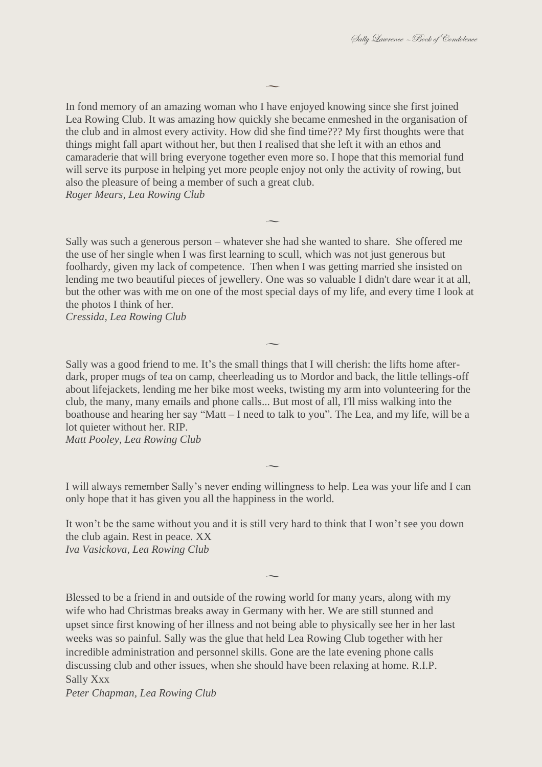In fond memory of an amazing woman who I have enjoyed knowing since she first joined Lea Rowing Club. It was amazing how quickly she became enmeshed in the organisation of the club and in almost every activity. How did she find time??? My first thoughts were that things might fall apart without her, but then I realised that she left it with an ethos and camaraderie that will bring everyone together even more so. I hope that this memorial fund will serve its purpose in helping yet more people enjoy not only the activity of rowing, but also the pleasure of being a member of such a great club. *Roger Mears, Lea Rowing Club*

 $\overline{\phantom{a}}$ 

Sally was such a generous person – whatever she had she wanted to share. She offered me the use of her single when I was first learning to scull, which was not just generous but foolhardy, given my lack of competence. Then when I was getting married she insisted on lending me two beautiful pieces of jewellery. One was so valuable I didn't dare wear it at all, but the other was with me on one of the most special days of my life, and every time I look at the photos I think of her.

 $\overline{\phantom{a}}$ 

*Cressida, Lea Rowing Club*

Sally was a good friend to me. It's the small things that I will cherish: the lifts home afterdark, proper mugs of tea on camp, cheerleading us to Mordor and back, the little tellings-off about lifejackets, lending me her bike most weeks, twisting my arm into volunteering for the club, the many, many emails and phone calls... But most of all, I'll miss walking into the boathouse and hearing her say "Matt – I need to talk to you". The Lea, and my life, will be a lot quieter without her. RIP.

 $\overline{\phantom{a}}$ 

*Matt Pooley, Lea Rowing Club*

I will always remember Sally's never ending willingness to help. Lea was your life and I can only hope that it has given you all the happiness in the world.

 $\overline{\phantom{a}}$ 

It won't be the same without you and it is still very hard to think that I won't see you down the club again. Rest in peace. XX *Iva Vasickova, Lea Rowing Club*

 $\overline{\phantom{0}}$ 

Blessed to be a friend in and outside of the rowing world for many years, along with my wife who had Christmas breaks away in Germany with her. We are still stunned and upset since first knowing of her illness and not being able to physically see her in her last weeks was so painful. Sally was the glue that held Lea Rowing Club together with her incredible administration and personnel skills. Gone are the late evening phone calls discussing club and other issues, when she should have been relaxing at home. R.I.P. Sally Xxx

*Peter Chapman, Lea Rowing Club*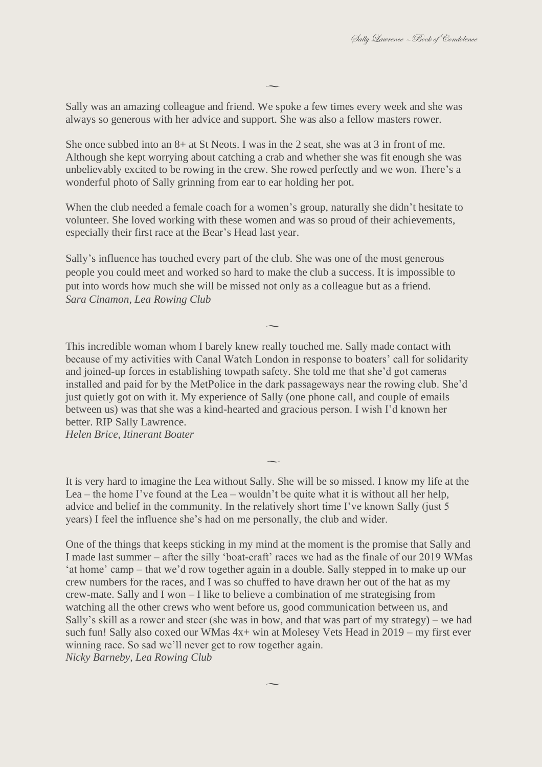Sally was an amazing colleague and friend. We spoke a few times every week and she was always so generous with her advice and support. She was also a fellow masters rower.

 $\overline{\phantom{a}}$ 

She once subbed into an 8+ at St Neots. I was in the 2 seat, she was at 3 in front of me. Although she kept worrying about catching a crab and whether she was fit enough she was unbelievably excited to be rowing in the crew. She rowed perfectly and we won. There's a wonderful photo of Sally grinning from ear to ear holding her pot.

When the club needed a female coach for a women's group, naturally she didn't hesitate to volunteer. She loved working with these women and was so proud of their achievements, especially their first race at the Bear's Head last year.

Sally's influence has touched every part of the club. She was one of the most generous people you could meet and worked so hard to make the club a success. It is impossible to put into words how much she will be missed not only as a colleague but as a friend. *Sara Cinamon, Lea Rowing Club*

This incredible woman whom I barely knew really touched me. Sally made contact with because of my activities with Canal Watch London in response to boaters' call for solidarity and joined-up forces in establishing towpath safety. She told me that she'd got cameras installed and paid for by the MetPolice in the dark passageways near the rowing club. She'd just quietly got on with it. My experience of Sally (one phone call, and couple of emails between us) was that she was a kind-hearted and gracious person. I wish I'd known her better. RIP Sally Lawrence.

 $\overline{\phantom{a}}$ 

*Helen Brice, Itinerant Boater*

It is very hard to imagine the Lea without Sally. She will be so missed. I know my life at the Lea – the home I've found at the Lea – wouldn't be quite what it is without all her help, advice and belief in the community. In the relatively short time I've known Sally (just 5 years) I feel the influence she's had on me personally, the club and wider.

 $\overline{\phantom{a}}$ 

One of the things that keeps sticking in my mind at the moment is the promise that Sally and I made last summer – after the silly 'boat-craft' races we had as the finale of our 2019 WMas 'at home' camp – that we'd row together again in a double. Sally stepped in to make up our crew numbers for the races, and I was so chuffed to have drawn her out of the hat as my crew-mate. Sally and I won – I like to believe a combination of me strategising from watching all the other crews who went before us, good communication between us, and Sally's skill as a rower and steer (she was in bow, and that was part of my strategy) – we had such fun! Sally also coxed our WMas 4x+ win at Molesey Vets Head in 2019 – my first ever winning race. So sad we'll never get to row together again. *Nicky Barneby, Lea Rowing Club*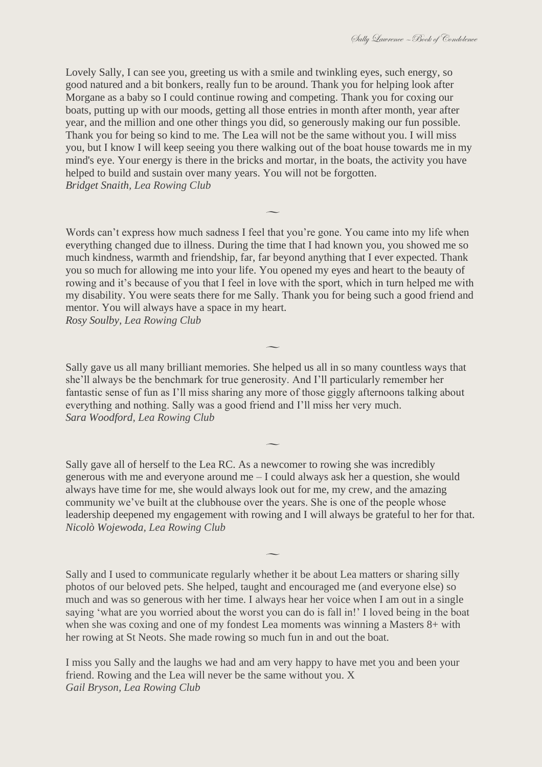Lovely Sally, I can see you, greeting us with a smile and twinkling eyes, such energy, so good natured and a bit bonkers, really fun to be around. Thank you for helping look after Morgane as a baby so I could continue rowing and competing. Thank you for coxing our boats, putting up with our moods, getting all those entries in month after month, year after year, and the million and one other things you did, so generously making our fun possible. Thank you for being so kind to me. The Lea will not be the same without you. I will miss you, but I know I will keep seeing you there walking out of the boat house towards me in my mind's eye. Your energy is there in the bricks and mortar, in the boats, the activity you have helped to build and sustain over many years. You will not be forgotten. *Bridget Snaith, Lea Rowing Club*

Words can't express how much sadness I feel that you're gone. You came into my life when everything changed due to illness. During the time that I had known you, you showed me so much kindness, warmth and friendship, far, far beyond anything that I ever expected. Thank you so much for allowing me into your life. You opened my eyes and heart to the beauty of rowing and it's because of you that I feel in love with the sport, which in turn helped me with my disability. You were seats there for me Sally. Thank you for being such a good friend and mentor. You will always have a space in my heart. *Rosy Soulby, Lea Rowing Club*

 $\overline{\phantom{a}}$ 

Sally gave us all many brilliant memories. She helped us all in so many countless ways that she'll always be the benchmark for true generosity. And I'll particularly remember her fantastic sense of fun as I'll miss sharing any more of those giggly afternoons talking about everything and nothing. Sally was a good friend and I'll miss her very much. *Sara Woodford, Lea Rowing Club*

 $\overline{\phantom{a}}$ 

Sally gave all of herself to the Lea RC. As a newcomer to rowing she was incredibly generous with me and everyone around me – I could always ask her a question, she would always have time for me, she would always look out for me, my crew, and the amazing community we've built at the clubhouse over the years. She is one of the people whose leadership deepened my engagement with rowing and I will always be grateful to her for that. *Nicolò Wojewoda, Lea Rowing Club*

 $\overline{\phantom{0}}$ 

 $\overline{\phantom{a}}$ 

Sally and I used to communicate regularly whether it be about Lea matters or sharing silly photos of our beloved pets. She helped, taught and encouraged me (and everyone else) so much and was so generous with her time. I always hear her voice when I am out in a single saying 'what are you worried about the worst you can do is fall in!' I loved being in the boat when she was coxing and one of my fondest Lea moments was winning a Masters 8+ with her rowing at St Neots. She made rowing so much fun in and out the boat.

I miss you Sally and the laughs we had and am very happy to have met you and been your friend. Rowing and the Lea will never be the same without you. X *Gail Bryson, Lea Rowing Club*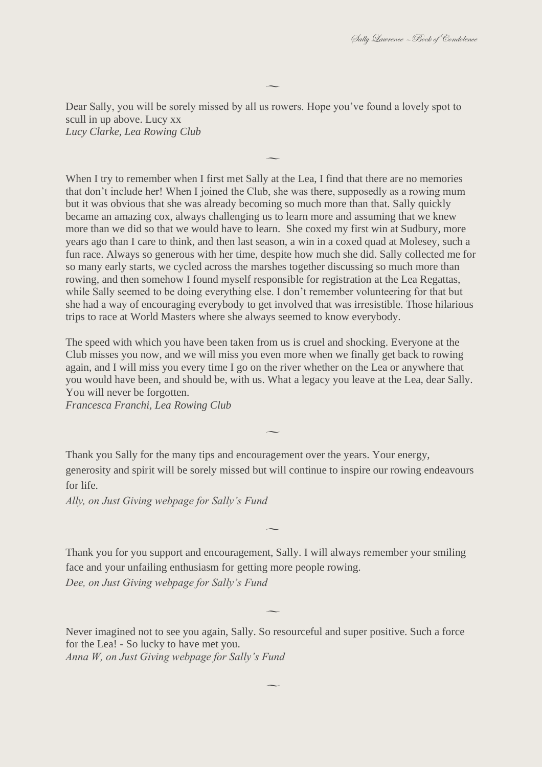Dear Sally, you will be sorely missed by all us rowers. Hope you've found a lovely spot to scull in up above. Lucy xx *Lucy Clarke, Lea Rowing Club*

 $\overline{\phantom{a}}$ 

 $\overline{\phantom{a}}$ 

When I try to remember when I first met Sally at the Lea, I find that there are no memories that don't include her! When I joined the Club, she was there, supposedly as a rowing mum but it was obvious that she was already becoming so much more than that. Sally quickly became an amazing cox, always challenging us to learn more and assuming that we knew more than we did so that we would have to learn. She coxed my first win at Sudbury, more years ago than I care to think, and then last season, a win in a coxed quad at Molesey, such a fun race. Always so generous with her time, despite how much she did. Sally collected me for so many early starts, we cycled across the marshes together discussing so much more than rowing, and then somehow I found myself responsible for registration at the Lea Regattas, while Sally seemed to be doing everything else. I don't remember volunteering for that but she had a way of encouraging everybody to get involved that was irresistible. Those hilarious trips to race at World Masters where she always seemed to know everybody.

The speed with which you have been taken from us is cruel and shocking. Everyone at the Club misses you now, and we will miss you even more when we finally get back to rowing again, and I will miss you every time I go on the river whether on the Lea or anywhere that you would have been, and should be, with us. What a legacy you leave at the Lea, dear Sally. You will never be forgotten.

*Francesca Franchi, Lea Rowing Club*

Thank you Sally for the many tips and encouragement over the years. Your energy, generosity and spirit will be sorely missed but will continue to inspire our rowing endeavours for life.

 $\overline{\phantom{a}}$ 

 $\overline{\phantom{a}}$ 

*Ally, on Just Giving webpage for Sally's Fund*

Thank you for you support and encouragement, Sally. I will always remember your smiling face and your unfailing enthusiasm for getting more people rowing. *Dee, on Just Giving webpage for Sally's Fund*

Never imagined not to see you again, Sally. So resourceful and super positive. Such a force for the Lea! - So lucky to have met you. *Anna W, on Just Giving webpage for Sally's Fund*

 $\overline{\phantom{a}}$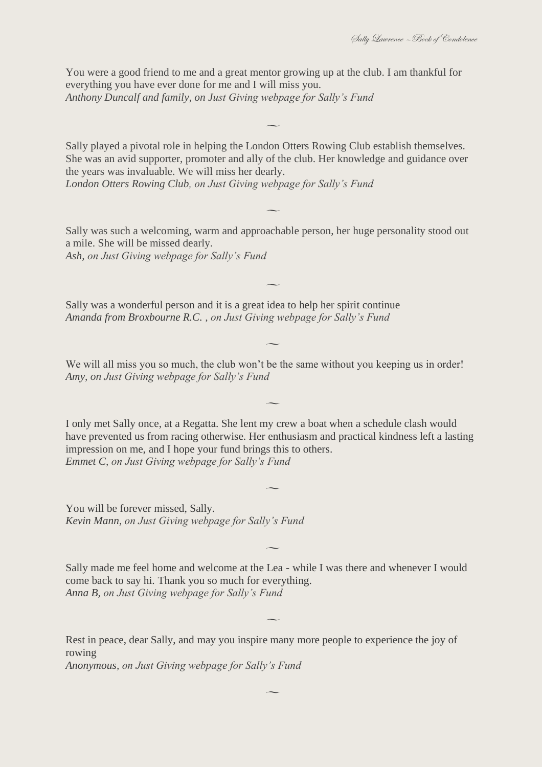You were a good friend to me and a great mentor growing up at the club. I am thankful for everything you have ever done for me and I will miss you. *Anthony Duncalf and family, on Just Giving webpage for Sally's Fund*

Sally played a pivotal role in helping the London Otters Rowing Club establish themselves. She was an avid supporter, promoter and ally of the club. Her knowledge and guidance over the years was invaluable. We will miss her dearly. *London Otters Rowing Club, on Just Giving webpage for Sally's Fund*

 $\overline{\phantom{a}}$ 

 $\overline{\phantom{0}}$ 

Sally was such a welcoming, warm and approachable person, her huge personality stood out a mile. She will be missed dearly. *Ash, on Just Giving webpage for Sally's Fund*

 $\overline{\phantom{a}}$ 

 $\overline{\phantom{0}}$ 

Sally was a wonderful person and it is a great idea to help her spirit continue *Amanda from Broxbourne R.C. , on Just Giving webpage for Sally's Fund*

We will all miss you so much, the club won't be the same without you keeping us in order! *Amy, on Just Giving webpage for Sally's Fund*

I only met Sally once, at a Regatta. She lent my crew a boat when a schedule clash would have prevented us from racing otherwise. Her enthusiasm and practical kindness left a lasting impression on me, and I hope your fund brings this to others. *Emmet C, on Just Giving webpage for Sally's Fund*

 $\overline{\phantom{a}}$ 

 $\overline{\phantom{a}}$ 

You will be forever missed, Sally. *Kevin Mann, on Just Giving webpage for Sally's Fund*

Sally made me feel home and welcome at the Lea - while I was there and whenever I would come back to say hi. Thank you so much for everything. *Anna B, on Just Giving webpage for Sally's Fund*

 $\overline{\phantom{0}}$ 

 $\overline{\phantom{a}}$ 

 $\overline{\phantom{a}}$ 

Rest in peace, dear Sally, and may you inspire many more people to experience the joy of rowing

*Anonymous, on Just Giving webpage for Sally's Fund*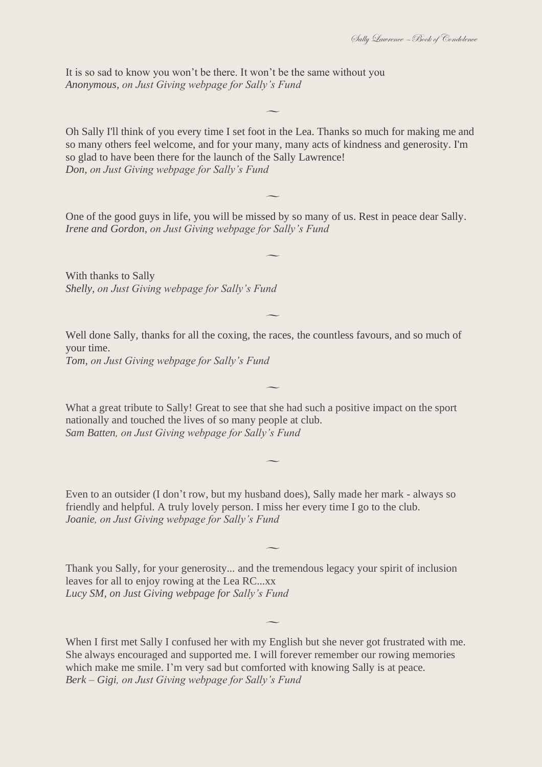It is so sad to know you won't be there. It won't be the same without you *Anonymous, on Just Giving webpage for Sally's Fund*

Oh Sally I'll think of you every time I set foot in the Lea. Thanks so much for making me and so many others feel welcome, and for your many, many acts of kindness and generosity. I'm so glad to have been there for the launch of the Sally Lawrence! *Don, on Just Giving webpage for Sally's Fund*

 $\overline{\phantom{0}}$ 

 $\overline{\phantom{a}}$ 

One of the good guys in life, you will be missed by so many of us. Rest in peace dear Sally. *Irene and Gordon, on Just Giving webpage for Sally's Fund*

 $\overline{\phantom{a}}$ 

 $\overline{\phantom{a}}$ 

 $\overline{\phantom{a}}$ 

 $\overline{\phantom{a}}$ 

With thanks to Sally *Shelly, on Just Giving webpage for Sally's Fund*

Well done Sally, thanks for all the coxing, the races, the countless favours, and so much of your time.

*Tom, on Just Giving webpage for Sally's Fund*

What a great tribute to Sally! Great to see that she had such a positive impact on the sport nationally and touched the lives of so many people at club. *Sam Batten, on Just Giving webpage for Sally's Fund*

Even to an outsider (I don't row, but my husband does), Sally made her mark - always so friendly and helpful. A truly lovely person. I miss her every time I go to the club. *Joanie, on Just Giving webpage for Sally's Fund*

Thank you Sally, for your generosity... and the tremendous legacy your spirit of inclusion leaves for all to enjoy rowing at the Lea RC...xx *Lucy SM, on Just Giving webpage for Sally's Fund*

 $\overline{\phantom{a}}$ 

When I first met Sally I confused her with my English but she never got frustrated with me. She always encouraged and supported me. I will forever remember our rowing memories which make me smile. I'm very sad but comforted with knowing Sally is at peace. *Berk – Gigi, on Just Giving webpage for Sally's Fund*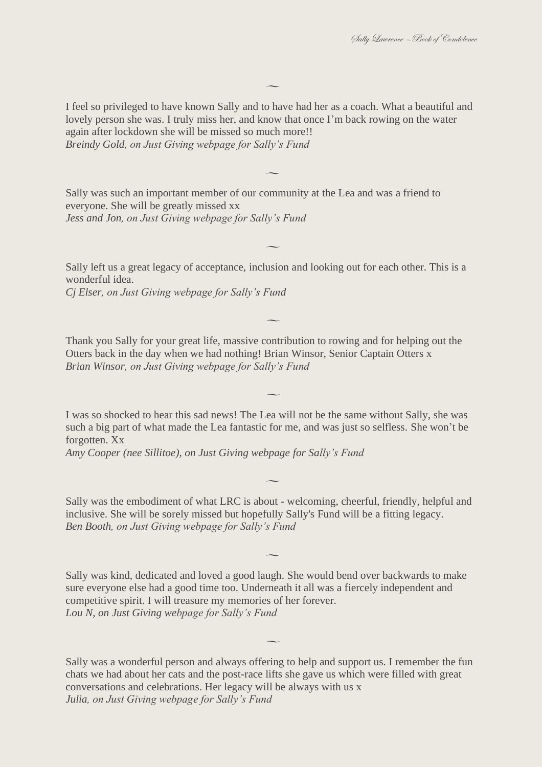I feel so privileged to have known Sally and to have had her as a coach. What a beautiful and lovely person she was. I truly miss her, and know that once I'm back rowing on the water again after lockdown she will be missed so much more!! *Breindy Gold, on Just Giving webpage for Sally's Fund*

 $\overline{\phantom{0}}$ 

 $\overline{\phantom{a}}$ 

Sally was such an important member of our community at the Lea and was a friend to everyone. She will be greatly missed xx *Jess and Jon, on Just Giving webpage for Sally's Fund*

Sally left us a great legacy of acceptance, inclusion and looking out for each other. This is a wonderful idea.

 $\overline{\phantom{0}}$ 

*Cj Elser, on Just Giving webpage for Sally's Fund*

Thank you Sally for your great life, massive contribution to rowing and for helping out the Otters back in the day when we had nothing! Brian Winsor, Senior Captain Otters x *Brian Winsor, on Just Giving webpage for Sally's Fund*

 $\overline{\phantom{a}}$ 

I was so shocked to hear this sad news! The Lea will not be the same without Sally, she was such a big part of what made the Lea fantastic for me, and was just so selfless. She won't be forgotten. Xx

 $\overline{\phantom{0}}$ 

*Amy Cooper (nee Sillitoe), on Just Giving webpage for Sally's Fund*

Sally was the embodiment of what LRC is about - welcoming, cheerful, friendly, helpful and inclusive. She will be sorely missed but hopefully Sally's Fund will be a fitting legacy. *Ben Booth, on Just Giving webpage for Sally's Fund*

 $\overline{\phantom{a}}$ 

 $\overline{\phantom{a}}$ 

Sally was kind, dedicated and loved a good laugh. She would bend over backwards to make sure everyone else had a good time too. Underneath it all was a fiercely independent and competitive spirit. I will treasure my memories of her forever. *Lou N, on Just Giving webpage for Sally's Fund*

Sally was a wonderful person and always offering to help and support us. I remember the fun chats we had about her cats and the post-race lifts she gave us which were filled with great conversations and celebrations. Her legacy will be always with us x *Julia, on Just Giving webpage for Sally's Fund*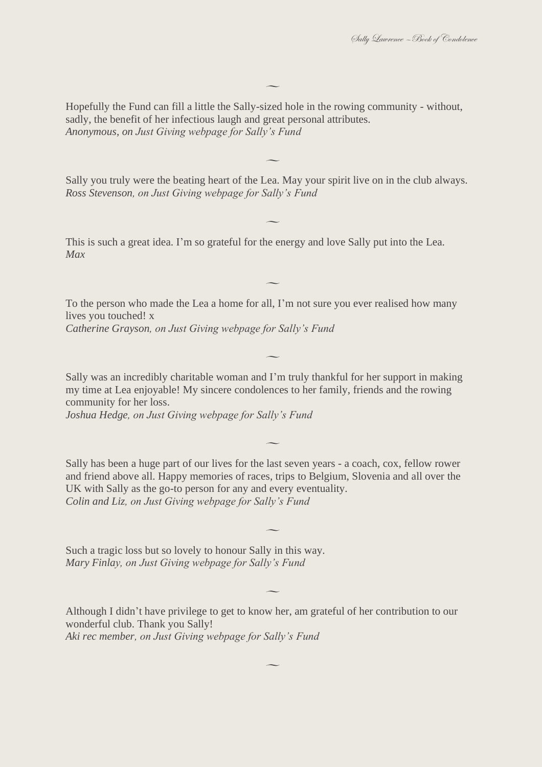Hopefully the Fund can fill a little the Sally-sized hole in the rowing community - without, sadly, the benefit of her infectious laugh and great personal attributes. *Anonymous, on Just Giving webpage for Sally's Fund*

 $\overline{\phantom{a}}$ 

Sally you truly were the beating heart of the Lea. May your spirit live on in the club always. *Ross Stevenson, on Just Giving webpage for Sally's Fund*

 $\overline{\phantom{a}}$ 

 $\overline{\phantom{a}}$ 

 $\overline{\phantom{a}}$ 

This is such a great idea. I'm so grateful for the energy and love Sally put into the Lea. *Max*

To the person who made the Lea a home for all, I'm not sure you ever realised how many lives you touched! x *Catherine Grayson, on Just Giving webpage for Sally's Fund*

Sally was an incredibly charitable woman and I'm truly thankful for her support in making my time at Lea enjoyable! My sincere condolences to her family, friends and the rowing community for her loss.

 $\overline{\phantom{a}}$ 

*Joshua Hedge, on Just Giving webpage for Sally's Fund*

Sally has been a huge part of our lives for the last seven years - a coach, cox, fellow rower and friend above all. Happy memories of races, trips to Belgium, Slovenia and all over the UK with Sally as the go-to person for any and every eventuality. *Colin and Liz, on Just Giving webpage for Sally's Fund*

 $\overline{\phantom{a}}$ 

 $\overline{\phantom{a}}$ 

 $\overline{\phantom{a}}$ 

 $\overline{\phantom{a}}$ 

Such a tragic loss but so lovely to honour Sally in this way. *Mary Finlay, on Just Giving webpage for Sally's Fund*

Although I didn't have privilege to get to know her, am grateful of her contribution to our wonderful club. Thank you Sally! *Aki rec member, on Just Giving webpage for Sally's Fund*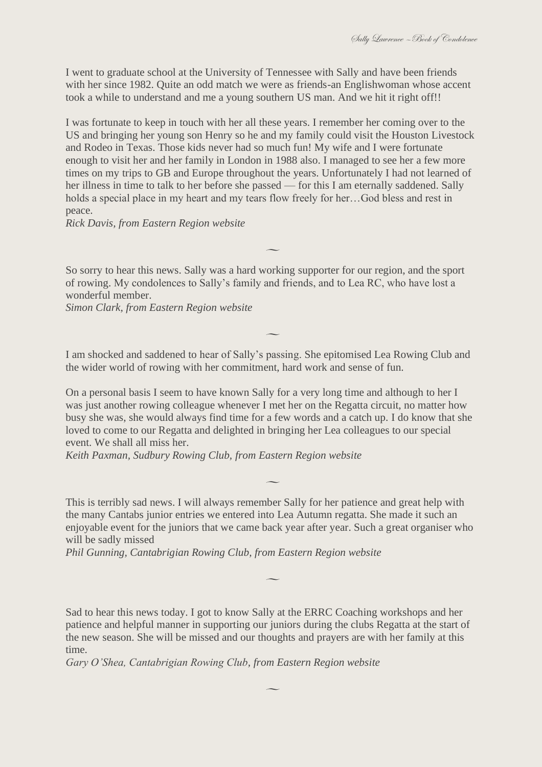I went to graduate school at the University of Tennessee with Sally and have been friends with her since 1982. Quite an odd match we were as friends-an Englishwoman whose accent took a while to understand and me a young southern US man. And we hit it right off!!

I was fortunate to keep in touch with her all these years. I remember her coming over to the US and bringing her young son Henry so he and my family could visit the Houston Livestock and Rodeo in Texas. Those kids never had so much fun! My wife and I were fortunate enough to visit her and her family in London in 1988 also. I managed to see her a few more times on my trips to GB and Europe throughout the years. Unfortunately I had not learned of her illness in time to talk to her before she passed — for this I am eternally saddened. Sally holds a special place in my heart and my tears flow freely for her…God bless and rest in peace.

*Rick Davis, from Eastern Region website*

So sorry to hear this news. Sally was a hard working supporter for our region, and the sport of rowing. My condolences to Sally's family and friends, and to Lea RC, who have lost a wonderful member.

 $\overline{\phantom{a}}$ 

*Simon Clark, from Eastern Region website*

I am shocked and saddened to hear of Sally's passing. She epitomised Lea Rowing Club and the wider world of rowing with her commitment, hard work and sense of fun.

 $\overline{\phantom{a}}$ 

On a personal basis I seem to have known Sally for a very long time and although to her I was just another rowing colleague whenever I met her on the Regatta circuit, no matter how busy she was, she would always find time for a few words and a catch up. I do know that she loved to come to our Regatta and delighted in bringing her Lea colleagues to our special event. We shall all miss her.

*Keith Paxman, Sudbury Rowing Club, from Eastern Region website*

This is terribly sad news. I will always remember Sally for her patience and great help with the many Cantabs junior entries we entered into Lea Autumn regatta. She made it such an enjoyable event for the juniors that we came back year after year. Such a great organiser who will be sadly missed

 $\overline{\phantom{0}}$ 

 $\overline{\phantom{a}}$ 

*Phil Gunning, Cantabrigian Rowing Club, from Eastern Region website*

Sad to hear this news today. I got to know Sally at the ERRC Coaching workshops and her patience and helpful manner in supporting our juniors during the clubs Regatta at the start of the new season. She will be missed and our thoughts and prayers are with her family at this time.

*Gary O'Shea, Cantabrigian Rowing Club, from Eastern Region website*